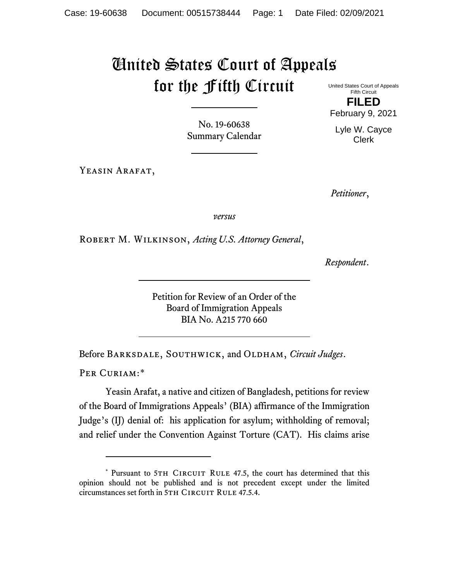## United States Court of Appeals for the Fifth Circuit

No. 19-60638 Summary Calendar

YEASIN ARAFAT,

United States Court of Appeals Fifth Circuit **FILED** February 9, 2021

Lyle W. Cayce

Clerk

*Petitioner*,

*versus*

Robert M. Wilkinson, *Acting U.S. Attorney General*,

*Respondent*.

Petition for Review of an Order of the Board of Immigration Appeals BIA No. A215 770 660

Before Barksdale, Southwick, and Oldham, *Circuit Judges*.

PER CURIAM:[\\*](#page-0-0)

Yeasin Arafat, a native and citizen of Bangladesh, petitions for review of the Board of Immigrations Appeals' (BIA) affirmance of the Immigration Judge's (IJ) denial of: his application for asylum; withholding of removal; and relief under the Convention Against Torture (CAT). His claims arise

<span id="page-0-0"></span><sup>\*</sup> Pursuant to 5TH CIRCUIT RULE 47.5, the court has determined that this opinion should not be published and is not precedent except under the limited circumstances set forth in 5TH CIRCUIT RULE 47.5.4.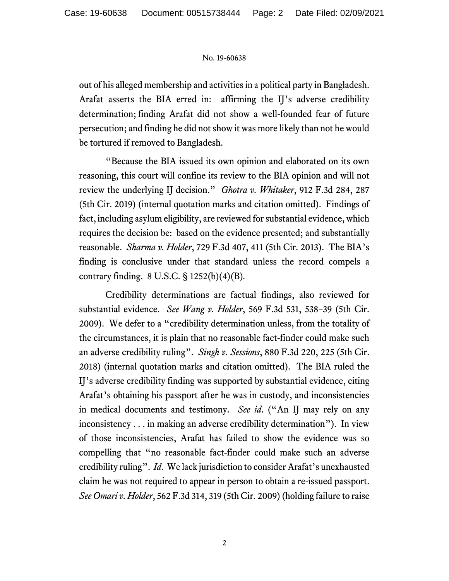## No. 19-60638

out of his alleged membership and activities in a political party in Bangladesh. Arafat asserts the BIA erred in: affirming the IJ's adverse credibility determination; finding Arafat did not show a well-founded fear of future persecution; and finding he did not show it was more likely than not he would be tortured if removed to Bangladesh.

"Because the BIA issued its own opinion and elaborated on its own reasoning, this court will confine its review to the BIA opinion and will not review the underlying IJ decision." *Ghotra v. Whitaker*, 912 F.3d 284, 287 (5th Cir. 2019) (internal quotation marks and citation omitted). Findings of fact, including asylum eligibility, are reviewed for substantial evidence, which requires the decision be: based on the evidence presented; and substantially reasonable. *Sharma v. Holder*, 729 F.3d 407, 411 (5th Cir. 2013). The BIA's finding is conclusive under that standard unless the record compels a contrary finding. 8 U.S.C. § 1252(b)(4)(B)*.*

Credibility determinations are factual findings, also reviewed for substantial evidence. *See Wang v. Holder*, 569 F.3d 531, 538–39 (5th Cir. 2009). We defer to a "credibility determination unless, from the totality of the circumstances, it is plain that no reasonable fact-finder could make such an adverse credibility ruling". *Singh v. Sessions*, 880 F.3d 220, 225 (5th Cir. 2018) (internal quotation marks and citation omitted). The BIA ruled the IJ's adverse credibility finding was supported by substantial evidence, citing Arafat's obtaining his passport after he was in custody, and inconsistencies in medical documents and testimony. *See id*. ("An IJ may rely on any inconsistency . . . in making an adverse credibility determination"). In view of those inconsistencies, Arafat has failed to show the evidence was so compelling that "no reasonable fact-finder could make such an adverse credibility ruling". *Id*. We lack jurisdiction to consider Arafat's unexhausted claim he was not required to appear in person to obtain a re-issued passport. *See Omari v. Holder*, 562 F.3d 314, 319 (5th Cir. 2009) (holding failure to raise